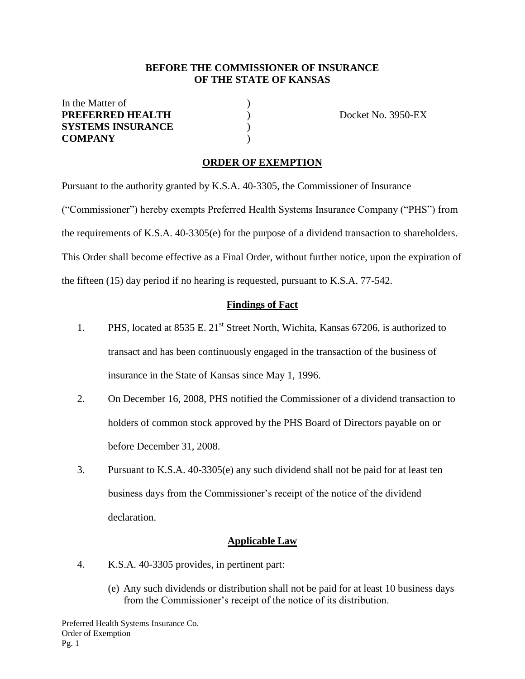#### **BEFORE THE COMMISSIONER OF INSURANCE OF THE STATE OF KANSAS**

| In the Matter of         |  |
|--------------------------|--|
| <b>PREFERRED HEALTH</b>  |  |
| <b>SYSTEMS INSURANCE</b> |  |
| <b>COMPANY</b>           |  |

**PREFERENT IN DOCKET NO. 3950-EX** 

# **ORDER OF EXEMPTION**

Pursuant to the authority granted by K.S.A. 40-3305, the Commissioner of Insurance ("Commissioner") hereby exempts Preferred Health Systems Insurance Company ("PHS") from the requirements of K.S.A. 40-3305(e) for the purpose of a dividend transaction to shareholders. This Order shall become effective as a Final Order, without further notice, upon the expiration of the fifteen (15) day period if no hearing is requested, pursuant to K.S.A. 77-542.

#### **Findings of Fact**

- 1. PHS, located at  $8535$  E.  $21<sup>st</sup>$  Street North, Wichita, Kansas 67206, is authorized to transact and has been continuously engaged in the transaction of the business of insurance in the State of Kansas since May 1, 1996.
- 2. On December 16, 2008, PHS notified the Commissioner of a dividend transaction to holders of common stock approved by the PHS Board of Directors payable on or before December 31, 2008.
- 3. Pursuant to K.S.A. 40-3305(e) any such dividend shall not be paid for at least ten business days from the Commissioner's receipt of the notice of the dividend declaration.

#### **Applicable Law**

- 4. K.S.A. 40-3305 provides, in pertinent part:
	- (e) Any such dividends or distribution shall not be paid for at least 10 business days from the Commissioner's receipt of the notice of its distribution.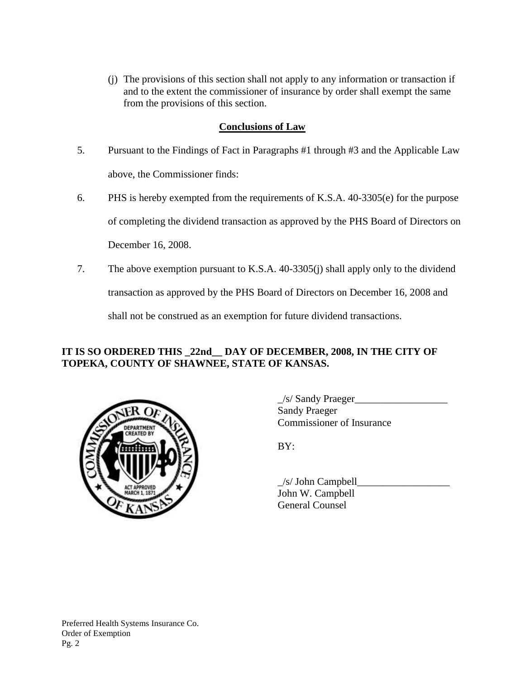(j) The provisions of this section shall not apply to any information or transaction if and to the extent the commissioner of insurance by order shall exempt the same from the provisions of this section.

## **Conclusions of Law**

- 5. Pursuant to the Findings of Fact in Paragraphs #1 through #3 and the Applicable Law above, the Commissioner finds:
- 6. PHS is hereby exempted from the requirements of K.S.A. 40-3305(e) for the purpose of completing the dividend transaction as approved by the PHS Board of Directors on December 16, 2008.
- 7. The above exemption pursuant to K.S.A. 40-3305(j) shall apply only to the dividend

transaction as approved by the PHS Board of Directors on December 16, 2008 and

shall not be construed as an exemption for future dividend transactions.

## **IT IS SO ORDERED THIS \_22nd\_\_ DAY OF DECEMBER, 2008, IN THE CITY OF TOPEKA, COUNTY OF SHAWNEE, STATE OF KANSAS.**



 $\angle$ s/ Sandy Praeger $\angle$ Sandy Praeger Commissioner of Insurance

 $BY:$ 

 $\angle$ s/ John Campbell John W. Campbell General Counsel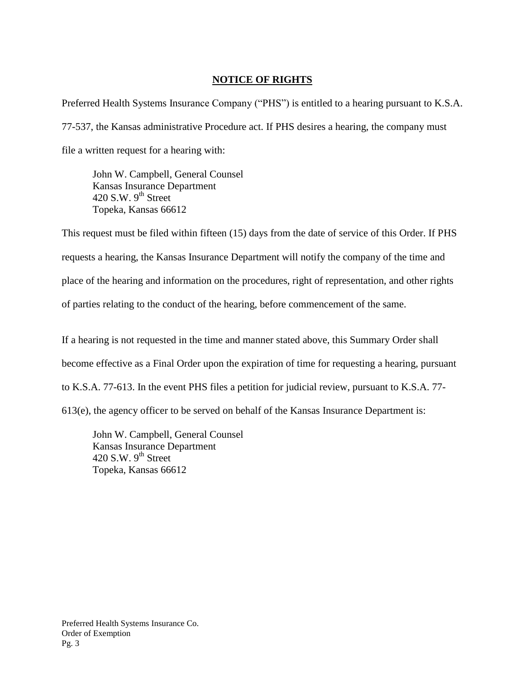### **NOTICE OF RIGHTS**

Preferred Health Systems Insurance Company ("PHS") is entitled to a hearing pursuant to K.S.A. 77-537, the Kansas administrative Procedure act. If PHS desires a hearing, the company must file a written request for a hearing with:

John W. Campbell, General Counsel Kansas Insurance Department 420 S.W.  $9<sup>th</sup>$  Street Topeka, Kansas 66612

This request must be filed within fifteen (15) days from the date of service of this Order. If PHS requests a hearing, the Kansas Insurance Department will notify the company of the time and place of the hearing and information on the procedures, right of representation, and other rights of parties relating to the conduct of the hearing, before commencement of the same.

If a hearing is not requested in the time and manner stated above, this Summary Order shall become effective as a Final Order upon the expiration of time for requesting a hearing, pursuant to K.S.A. 77-613. In the event PHS files a petition for judicial review, pursuant to K.S.A. 77- 613(e), the agency officer to be served on behalf of the Kansas Insurance Department is:

John W. Campbell, General Counsel Kansas Insurance Department 420 S.W.  $9<sup>th</sup>$  Street Topeka, Kansas 66612